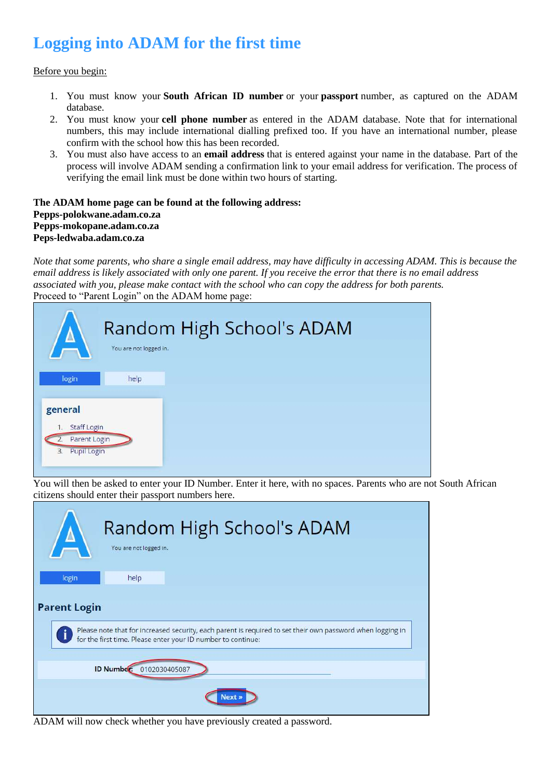# **Logging into ADAM for the first time**

Before you begin:

- 1. You must know your **South African ID number** or your **passport** number, as captured on the ADAM database.
- 2. You must know your **cell phone number** as entered in the ADAM database. Note that for international numbers, this may include international dialling prefixed too. If you have an international number, please confirm with the school how this has been recorded.
- 3. You must also have access to an **email address** that is entered against your name in the database. Part of the process will involve ADAM sending a confirmation link to your email address for verification. The process of verifying the email link must be done within two hours of starting.

#### **The ADAM home page can be found at the following address: Pepps-polokwane.adam.co.za Pepps-mokopane.adam.co.za Peps-ledwaba.adam.co.za**

*Note that some parents, who share a single email address, may have difficulty in accessing ADAM. This is because the email address is likely associated with only one parent. If you receive the error that there is no email address associated with you, please make contact with the school who can copy the address for both parents.* Proceed to "Parent Login" on the ADAM home page:

| $\Delta$                                                                 | You are not logged in. | Random High School's ADAM |
|--------------------------------------------------------------------------|------------------------|---------------------------|
| login                                                                    | help                   |                           |
| general<br><b>Staff Login</b><br>1.<br>Parent Login<br>Pupil Login<br>3. |                        |                           |

You will then be asked to enter your ID Number. Enter it here, with no spaces. Parents who are not South African citizens should enter their passport numbers here.

|                     | Random High School's ADAM<br>You are not logged in.                                                                                                                        |  |
|---------------------|----------------------------------------------------------------------------------------------------------------------------------------------------------------------------|--|
| login               | help                                                                                                                                                                       |  |
| <b>Parent Login</b> |                                                                                                                                                                            |  |
|                     | Please note that for increased security, each parent is required to set their own password when logging in<br>for the first time. Please enter your ID number to continue: |  |
|                     | <b>ID Number:</b><br>0102030405087                                                                                                                                         |  |
|                     |                                                                                                                                                                            |  |

ADAM will now check whether you have previously created a password.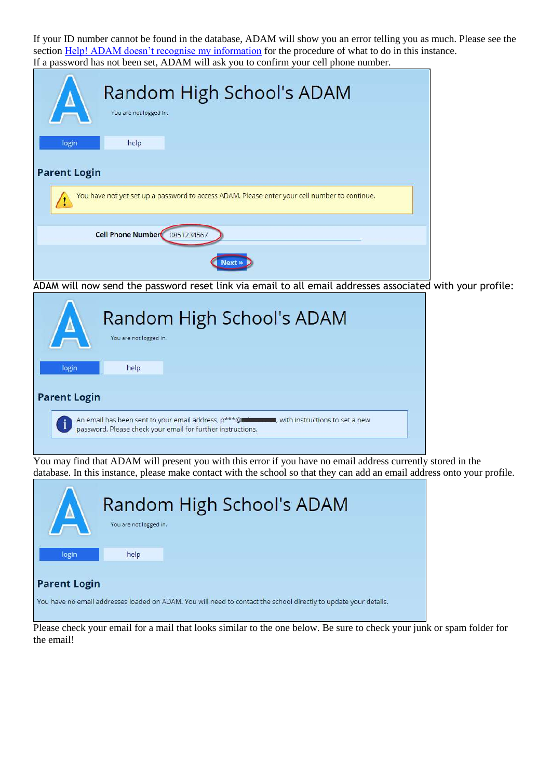If your ID number cannot be found in the database, ADAM will show you an error telling you as much. Please see the section [Help! ADAM doesn't recognise my information](https://help.adam.co.za/logging-on-to-adam-a-guide-for-parents.html#help-adam-doesnt-recognise-my-information) for the procedure of what to do in this instance. If a password has not been set, ADAM will ask you to confirm your cell phone number.

| Random High School's ADAM<br>You are not logged in.                                           |  |
|-----------------------------------------------------------------------------------------------|--|
| help<br>login                                                                                 |  |
| <b>Parent Login</b>                                                                           |  |
| You have not yet set up a password to access ADAM. Please enter your cell number to continue. |  |
| <b>Cell Phone Number</b><br>0851234567                                                        |  |
|                                                                                               |  |

ADAM will now send the password reset link via email to all email addresses associated with your profile:

|                     | You are not logged in. | Random High School's ADAM |
|---------------------|------------------------|---------------------------|
| login               | help                   |                           |
| <b>Parent Login</b> |                        |                           |

You may find that ADAM will present you with this error if you have no email address currently stored in the database. In this instance, please make contact with the school so that they can add an email address onto your profile.

| $/ \Delta$          | You are not logged in. | Random High School's ADAM                                                                                        |
|---------------------|------------------------|------------------------------------------------------------------------------------------------------------------|
| login               | help                   |                                                                                                                  |
| <b>Parent Login</b> |                        | You have no email addresses loaded on ADAM. You will need to contact the school directly to update your details. |

Please check your email for a mail that looks similar to the one below. Be sure to check your junk or spam folder for the email!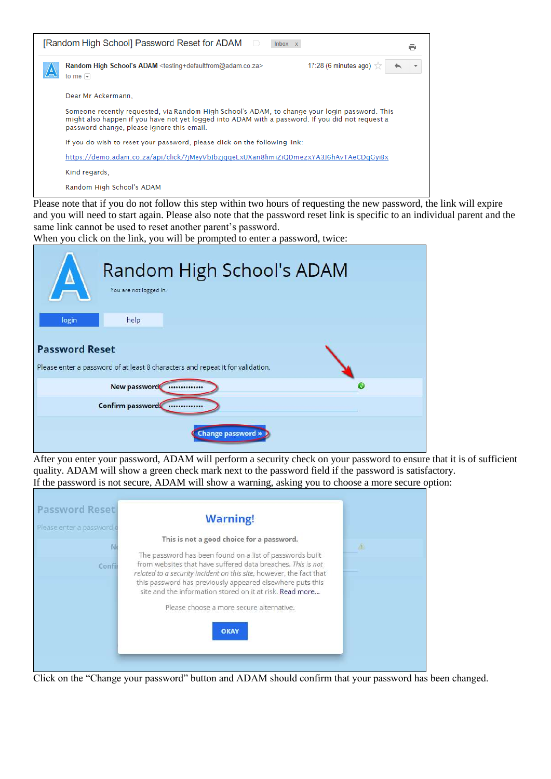| [Random High School] Password Reset for ADAM □<br>Inbox x                                                                                                                                                                                        |  |
|--------------------------------------------------------------------------------------------------------------------------------------------------------------------------------------------------------------------------------------------------|--|
| 17:28 (6 minutes ago) $\frac{1}{100}$<br>Random High School's ADAM <testing+defaultfrom@adam.co.za><br/>to me <math>\vert</math></testing+defaultfrom@adam.co.za>                                                                                |  |
| Dear Mr Ackermann.                                                                                                                                                                                                                               |  |
| Someone recently requested, via Random High School's ADAM, to change your login password. This<br>might also happen if you have not yet logged into ADAM with a password. If you did not request a<br>password change, please ignore this email. |  |
| If you do wish to reset your password, please click on the following link:                                                                                                                                                                       |  |
| https://demo.adam.co.za/api/click/?jMeyVbJbzjqqeLxUXan8hmiZiQDmezxYA3J6hAvTAeCDqGyiBx                                                                                                                                                            |  |
| Kind regards.                                                                                                                                                                                                                                    |  |
| Random High School's ADAM                                                                                                                                                                                                                        |  |

Please note that if you do not follow this step within two hours of requesting the new password, the link will expire and you will need to start again. Please also note that the password reset link is specific to an individual parent and the same link cannot be used to reset another parent's password.

When you click on the link, you will be prompted to enter a password, twice:

| $\Delta$              | Random High School's ADAM<br>You are not logged in.                            |          |
|-----------------------|--------------------------------------------------------------------------------|----------|
| login                 | help                                                                           |          |
| <b>Password Reset</b> | Please enter a password of at least 8 characters and repeat it for validation. |          |
|                       | New password<br>                                                               | $\omega$ |
|                       | Confirm password<br>                                                           |          |
|                       | <b>Change password »</b>                                                       |          |

After you enter your password, ADAM will perform a security check on your password to ensure that it is of sufficient quality. ADAM will show a green check mark next to the password field if the password is satisfactory. If the password is not secure, ADAM will show a warning, asking you to choose a more secure option:

| <b>Password Reset</b><br>Please enter a password o | <b>Warning!</b>                                                                                                                    |  |
|----------------------------------------------------|------------------------------------------------------------------------------------------------------------------------------------|--|
|                                                    | This is not a good choice for a password.                                                                                          |  |
|                                                    | The password has been found on a list of passwords built                                                                           |  |
| Confil                                             | from websites that have suffered data breaches. This is not<br>related to a security incident on this site, however, the fact that |  |
|                                                    | this password has previously appeared elsewhere puts this<br>site and the information stored on it at risk. Read more              |  |
|                                                    | Please choose a more secure alternative.                                                                                           |  |
|                                                    |                                                                                                                                    |  |
|                                                    | <b>OKAY</b>                                                                                                                        |  |
|                                                    |                                                                                                                                    |  |

Click on the "Change your password" button and ADAM should confirm that your password has been changed.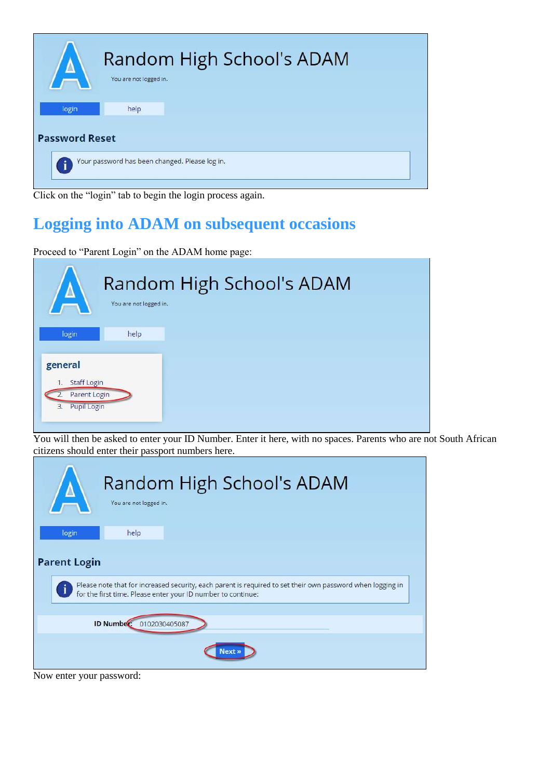

Click on the "login" tab to begin the login process again.

# **Logging into ADAM on subsequent occasions**

Proceed to "Parent Login" on the ADAM home page:

| $\sqrt{2}$                                                               | You are not logged in. | Random High School's ADAM |
|--------------------------------------------------------------------------|------------------------|---------------------------|
| login                                                                    | help                   |                           |
| general<br><b>Staff Login</b><br>1.<br>Parent Login<br>Pupil Login<br>3. |                        |                           |

You will then be asked to enter your ID Number. Enter it here, with no spaces. Parents who are not South African citizens should enter their passport numbers here.

| Random High School's ADAM<br>You are not logged in.                                                                                                                        |  |
|----------------------------------------------------------------------------------------------------------------------------------------------------------------------------|--|
| login<br>help                                                                                                                                                              |  |
| <b>Parent Login</b>                                                                                                                                                        |  |
| Please note that for increased security, each parent is required to set their own password when logging in<br>for the first time. Please enter your ID number to continue: |  |
| <b>ID Number:</b><br>0102030405087                                                                                                                                         |  |
|                                                                                                                                                                            |  |

Now enter your password: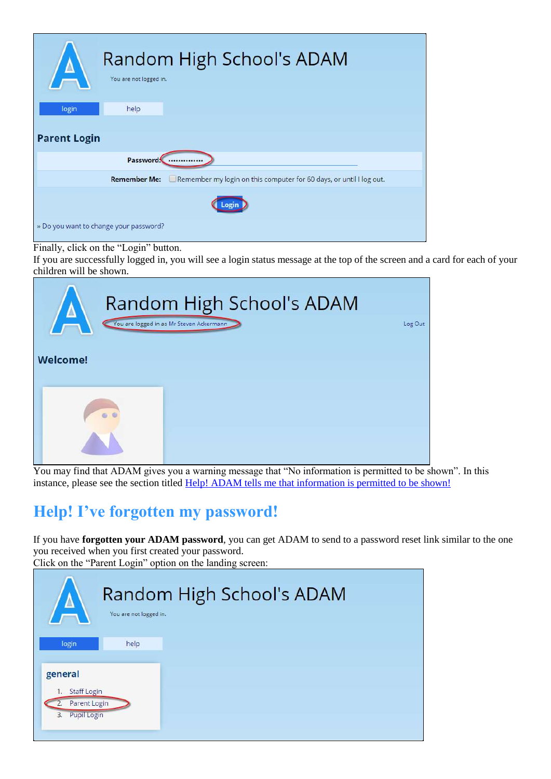| $\Lambda$                              | You are not logged in. | Random High School's ADAM                                           |
|----------------------------------------|------------------------|---------------------------------------------------------------------|
| login                                  | help                   |                                                                     |
| <b>Parent Login</b>                    |                        |                                                                     |
|                                        | Password:              |                                                                     |
|                                        | <b>Remember Me:</b>    | Remember my login on this computer for 60 days, or until I log out. |
|                                        |                        |                                                                     |
| » Do you want to change your password? |                        |                                                                     |

Finally, click on the "Login" button.

If you are successfully logged in, you will see a login status message at the top of the screen and a card for each of your children will be shown.

| $\Lambda$<br><b>Welcome!</b> | Random High School's ADAM<br>You are logged in as Mr Steven Ackermann | Log Out |
|------------------------------|-----------------------------------------------------------------------|---------|
|                              |                                                                       |         |

You may find that ADAM gives you a warning message that "No information is permitted to be shown". In this instance, please see the section titled [Help! ADAM tells me that information is permitted to be shown!](https://help.adam.co.za/logging-on-to-adam-a-guide-for-parents.html#help-adam-tells-me-that-no-information-is-permitted-to-be-shown)

## **Help! I've forgotten my password!**

If you have **forgotten your ADAM password**, you can get ADAM to send to a password reset link similar to the one you received when you first created your password. Click on the "Parent Login" option on the landing screen:

| $\Delta$                                                                 | You are not logged in. | Random High School's ADAM |
|--------------------------------------------------------------------------|------------------------|---------------------------|
| login                                                                    | help                   |                           |
| general<br><b>Staff Login</b><br>1.<br>Parent Login<br>Pupil Login<br>3. |                        |                           |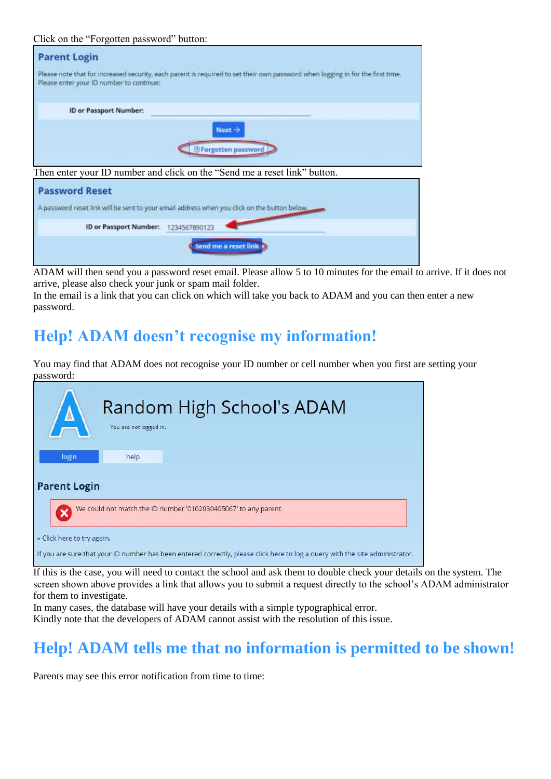#### Click on the "Forgotten password" button:

ID or Passport Number: 1234567890123

| <b>Parent Login</b>                      |                                                                                                                                |
|------------------------------------------|--------------------------------------------------------------------------------------------------------------------------------|
| Please enter your ID number to continue: | Please note that for increased security, each parent is required to set their own password when logging in for the first time. |
| <b>ID or Passport Number:</b>            |                                                                                                                                |
|                                          | Next $\rightarrow$                                                                                                             |
|                                          | <b><i>OForgotten password</i></b>                                                                                              |
|                                          | Then enter your ID number and click on the "Send me a reset link" button.                                                      |
| <b>Password Reset</b>                    |                                                                                                                                |
|                                          | A password reset link will be sent to your email address when you click on the button below.                                   |

Send me a reset link

ADAM will then send you a password reset email. Please allow 5 to 10 minutes for the email to arrive. If it does not arrive, please also check your junk or spam mail folder.

In the email is a link that you can click on which will take you back to ADAM and you can then enter a new password.

### **Help! ADAM doesn't recognise my information!**

You may find that ADAM does not recognise your ID number or cell number when you first are setting your password:

| $/\,\Lambda$                                                                                                                  | You are not logged in. | Random High School's ADAM |  |  |
|-------------------------------------------------------------------------------------------------------------------------------|------------------------|---------------------------|--|--|
| login                                                                                                                         | help                   |                           |  |  |
| <b>Parent Login</b>                                                                                                           |                        |                           |  |  |
| We could not match the ID number '0102030405067' to any parent.                                                               |                        |                           |  |  |
| » Click here to try again.                                                                                                    |                        |                           |  |  |
| If you are sure that your ID number has been entered correctly, please click here to log a query with the site administrator. |                        |                           |  |  |

If this is the case, you will need to contact the school and ask them to double check your details on the system. The screen shown above provides a link that allows you to submit a request directly to the school's ADAM administrator for them to investigate.

In many cases, the database will have your details with a simple typographical error.

Kindly note that the developers of ADAM cannot assist with the resolution of this issue.

### **Help! ADAM tells me that no information is permitted to be shown!**

Parents may see this error notification from time to time: